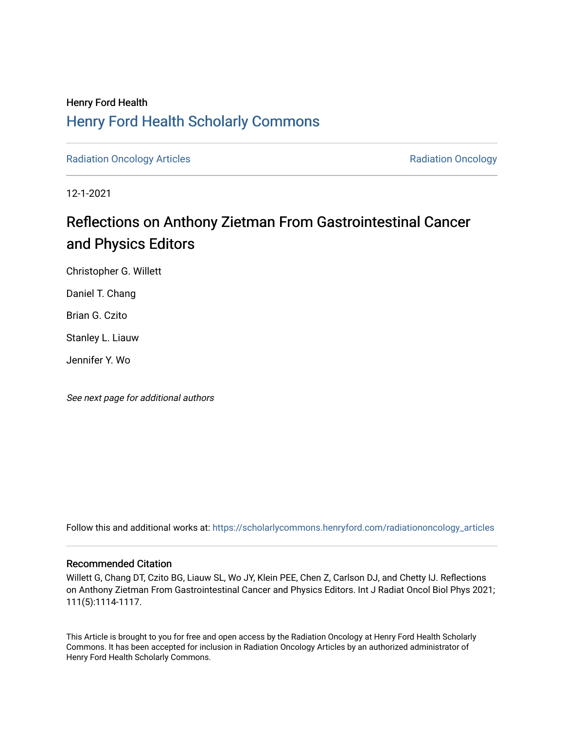## Henry Ford Health [Henry Ford Health Scholarly Commons](https://scholarlycommons.henryford.com/)

[Radiation Oncology Articles](https://scholarlycommons.henryford.com/radiationoncology_articles) **Radiation Oncology Radiation Oncology** 

12-1-2021

# Reflections on Anthony Zietman From Gastrointestinal Cancer and Physics Editors

Christopher G. Willett

Daniel T. Chang

Brian G. Czito

Stanley L. Liauw

Jennifer Y. Wo

See next page for additional authors

Follow this and additional works at: [https://scholarlycommons.henryford.com/radiationoncology\\_articles](https://scholarlycommons.henryford.com/radiationoncology_articles?utm_source=scholarlycommons.henryford.com%2Fradiationoncology_articles%2F347&utm_medium=PDF&utm_campaign=PDFCoverPages) 

### Recommended Citation

Willett G, Chang DT, Czito BG, Liauw SL, Wo JY, Klein PEE, Chen Z, Carlson DJ, and Chetty IJ. Reflections on Anthony Zietman From Gastrointestinal Cancer and Physics Editors. Int J Radiat Oncol Biol Phys 2021; 111(5):1114-1117.

This Article is brought to you for free and open access by the Radiation Oncology at Henry Ford Health Scholarly Commons. It has been accepted for inclusion in Radiation Oncology Articles by an authorized administrator of Henry Ford Health Scholarly Commons.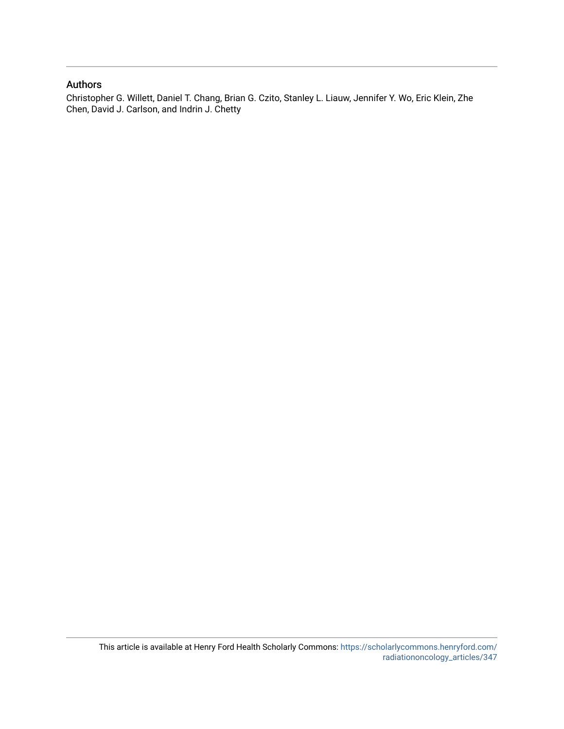### Authors

Christopher G. Willett, Daniel T. Chang, Brian G. Czito, Stanley L. Liauw, Jennifer Y. Wo, Eric Klein, Zhe Chen, David J. Carlson, and Indrin J. Chetty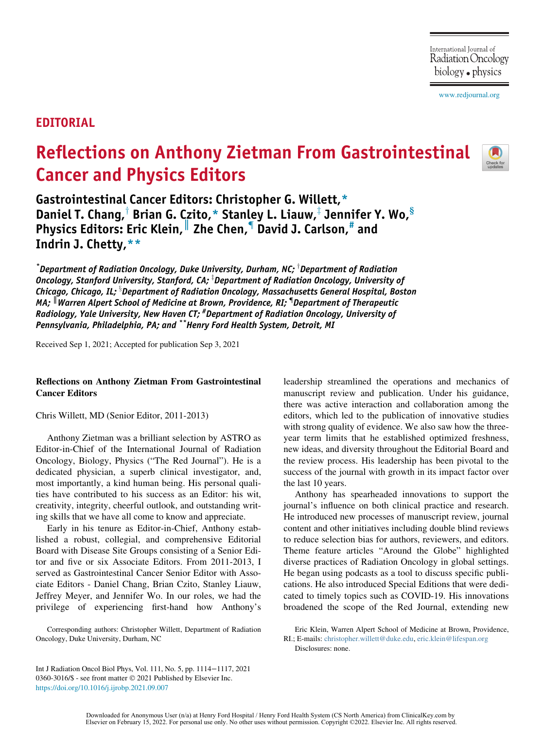[www.redjournal.org](http://www.redjournal.org)

## EDITORIAL

# Reflections on Anthony Zietman From Gastrointestinal Cancer and Physics Editors



Gastrointestinal Cancer Editors: Christopher G. Willett,[\\*](#page-2-0) Daniel T. Chang,<sup>†</sup> Brian G. Czito,\* Stanle[y](#page-2-0) L. Liauw, $\frac{1}{4}$  Jennifer Y. Wo, $\frac{8}{5}$ Physics Editors: Eric Klein,  $\parallel$  Zhe Chen,  $\parallel$  David J. Carlson,  $\parallel$  and Indrin J. Chetty,[\\*\\*](#page-2-4)

<span id="page-2-2"></span><span id="page-2-1"></span><span id="page-2-0"></span> $\,$ \*Department of Radiation Oncology, Duke University, Durham, NC;  $^\dagger$ Department of Radiation Oncology, Stanford University, Stanford, CA;  $^\text{\tiny{\text{T}}}$ Department of Radiation Oncology, University of Chicago, Chicago, IL;  $^{\circ}$ Department of Radiation Oncology, Massachusetts General Hospital, Boston MA;  $\mathbb {I}$ Warren Alpert School of Medicine at Brown, Providence, RI;  $\mathbb {I}$ Department of Therapeutic Radiology, Yale University, New Haven CT; <sup>#</sup>Department of Radiation Oncology, University of Pennsylvania, Philadelphia, PA; and \*\*Henry Ford Health System, Detroit, MI

<span id="page-2-4"></span><span id="page-2-3"></span>Received Sep 1, 2021; Accepted for publication Sep 3, 2021

#### Reflections on Anthony Zietman From Gastrointestinal Cancer Editors

Chris Willett, MD (Senior Editor, 2011-2013)

Anthony Zietman was a brilliant selection by ASTRO as Editor-in-Chief of the International Journal of Radiation Oncology, Biology, Physics ("The Red Journal"). He is a dedicated physician, a superb clinical investigator, and, most importantly, a kind human being. His personal qualities have contributed to his success as an Editor: his wit, creativity, integrity, cheerful outlook, and outstanding writing skills that we have all come to know and appreciate.

Early in his tenure as Editor-in-Chief, Anthony established a robust, collegial, and comprehensive Editorial Board with Disease Site Groups consisting of a Senior Editor and five or six Associate Editors. From 2011-2013, I served as Gastrointestinal Cancer Senior Editor with Associate Editors - Daniel Chang, Brian Czito, Stanley Liauw, Jeffrey Meyer, and Jennifer Wo. In our roles, we had the privilege of experiencing first-hand how Anthony's leadership streamlined the operations and mechanics of manuscript review and publication. Under his guidance, there was active interaction and collaboration among the editors, which led to the publication of innovative studies with strong quality of evidence. We also saw how the threeyear term limits that he established optimized freshness, new ideas, and diversity throughout the Editorial Board and the review process. His leadership has been pivotal to the success of the journal with growth in its impact factor over the last 10 years.

Anthony has spearheaded innovations to support the journal's influence on both clinical practice and research. He introduced new processes of manuscript review, journal content and other initiatives including double blind reviews to reduce selection bias for authors, reviewers, and editors. Theme feature articles "Around the Globe" highlighted diverse practices of Radiation Oncology in global settings. He began using podcasts as a tool to discuss specific publications. He also introduced Special Editions that were dedicated to timely topics such as COVID-19. His innovations broadened the scope of the Red Journal, extending new

Eric Klein, Warren Alpert School of Medicine at Brown, Providence, RI.; E-mails: [christopher.willett@duke.edu](mailto:christopher.willett@duke.edu), [eric.klein@lifespan.org](mailto:eric.klein@lifespan.org) Disclosures: none.

Int J Radiation Oncol Biol Phys, Vol. 111, No. 5, pp. 1114−1117, 2021 0360-3016/\$ - see front matter © 2021 Published by Elsevier Inc. <https://doi.org/10.1016/j.ijrobp.2021.09.007>

Corresponding authors: Christopher Willett, Department of Radiation Oncology, Duke University, Durham, NC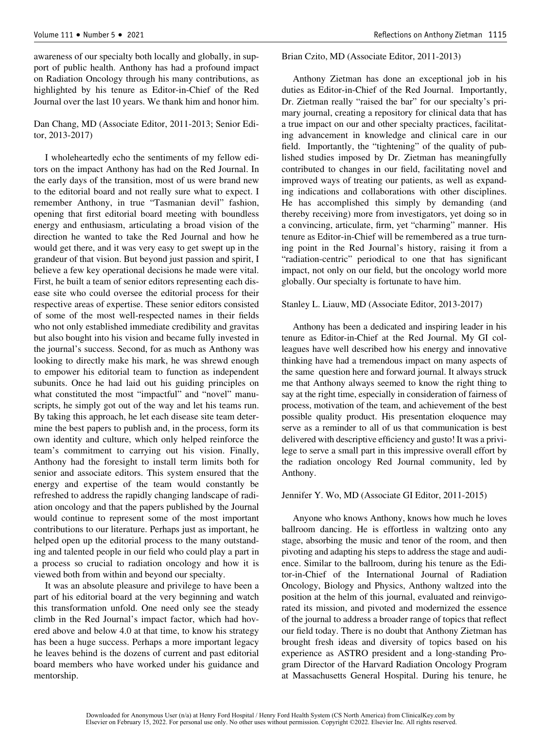awareness of our specialty both locally and globally, in support of public health. Anthony has had a profound impact on Radiation Oncology through his many contributions, as highlighted by his tenure as Editor-in-Chief of the Red Journal over the last 10 years. We thank him and honor him.

#### Dan Chang, MD (Associate Editor, 2011-2013; Senior Editor, 2013-2017)

I wholeheartedly echo the sentiments of my fellow editors on the impact Anthony has had on the Red Journal. In the early days of the transition, most of us were brand new to the editorial board and not really sure what to expect. I remember Anthony, in true "Tasmanian devil" fashion, opening that first editorial board meeting with boundless energy and enthusiasm, articulating a broad vision of the direction he wanted to take the Red Journal and how he would get there, and it was very easy to get swept up in the grandeur of that vision. But beyond just passion and spirit, I believe a few key operational decisions he made were vital. First, he built a team of senior editors representing each disease site who could oversee the editorial process for their respective areas of expertise. These senior editors consisted of some of the most well-respected names in their fields who not only established immediate credibility and gravitas but also bought into his vision and became fully invested in the journal's success. Second, for as much as Anthony was looking to directly make his mark, he was shrewd enough to empower his editorial team to function as independent subunits. Once he had laid out his guiding principles on what constituted the most "impactful" and "novel" manuscripts, he simply got out of the way and let his teams run. By taking this approach, he let each disease site team determine the best papers to publish and, in the process, form its own identity and culture, which only helped reinforce the team's commitment to carrying out his vision. Finally, Anthony had the foresight to install term limits both for senior and associate editors. This system ensured that the energy and expertise of the team would constantly be refreshed to address the rapidly changing landscape of radiation oncology and that the papers published by the Journal would continue to represent some of the most important contributions to our literature. Perhaps just as important, he helped open up the editorial process to the many outstanding and talented people in our field who could play a part in a process so crucial to radiation oncology and how it is viewed both from within and beyond our specialty.

It was an absolute pleasure and privilege to have been a part of his editorial board at the very beginning and watch this transformation unfold. One need only see the steady climb in the Red Journal's impact factor, which had hovered above and below 4.0 at that time, to know his strategy has been a huge success. Perhaps a more important legacy he leaves behind is the dozens of current and past editorial board members who have worked under his guidance and mentorship.

#### Brian Czito, MD (Associate Editor, 2011-2013)

Anthony Zietman has done an exceptional job in his duties as Editor-in-Chief of the Red Journal. Importantly, Dr. Zietman really "raised the bar" for our specialty's primary journal, creating a repository for clinical data that has a true impact on our and other specialty practices, facilitating advancement in knowledge and clinical care in our field. Importantly, the "tightening" of the quality of published studies imposed by Dr. Zietman has meaningfully contributed to changes in our field, facilitating novel and improved ways of treating our patients, as well as expanding indications and collaborations with other disciplines. He has accomplished this simply by demanding (and thereby receiving) more from investigators, yet doing so in a convincing, articulate, firm, yet "charming" manner. His tenure as Editor-in-Chief will be remembered as a true turning point in the Red Journal's history, raising it from a "radiation-centric" periodical to one that has significant impact, not only on our field, but the oncology world more globally. Our specialty is fortunate to have him.

#### Stanley L. Liauw, MD (Associate Editor, 2013-2017)

Anthony has been a dedicated and inspiring leader in his tenure as Editor-in-Chief at the Red Journal. My GI colleagues have well described how his energy and innovative thinking have had a tremendous impact on many aspects of the same question here and forward journal. It always struck me that Anthony always seemed to know the right thing to say at the right time, especially in consideration of fairness of process, motivation of the team, and achievement of the best possible quality product. His presentation eloquence may serve as a reminder to all of us that communication is best delivered with descriptive efficiency and gusto! It was a privilege to serve a small part in this impressive overall effort by the radiation oncology Red Journal community, led by Anthony.

#### Jennifer Y. Wo, MD (Associate GI Editor, 2011-2015)

Anyone who knows Anthony, knows how much he loves ballroom dancing. He is effortless in waltzing onto any stage, absorbing the music and tenor of the room, and then pivoting and adapting his steps to address the stage and audience. Similar to the ballroom, during his tenure as the Editor-in-Chief of the International Journal of Radiation Oncology, Biology and Physics, Anthony waltzed into the position at the helm of this journal, evaluated and reinvigorated its mission, and pivoted and modernized the essence of the journal to address a broader range of topics that reflect our field today. There is no doubt that Anthony Zietman has brought fresh ideas and diversity of topics based on his experience as ASTRO president and a long-standing Program Director of the Harvard Radiation Oncology Program at Massachusetts General Hospital. During his tenure, he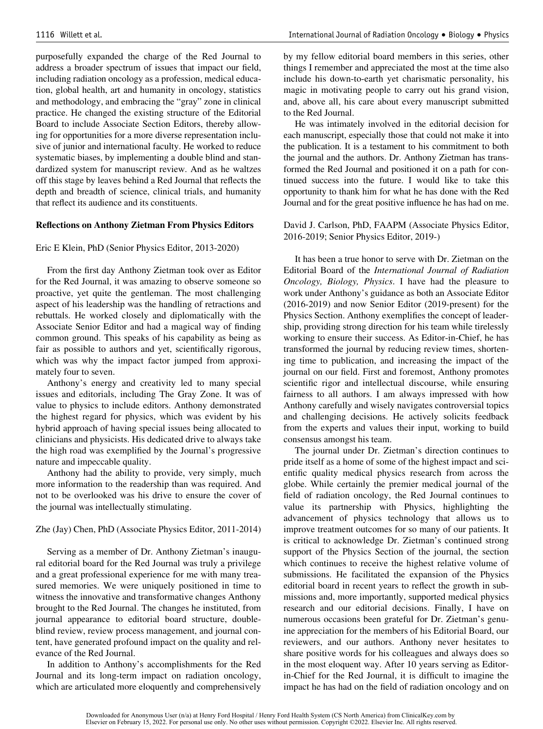purposefully expanded the charge of the Red Journal to address a broader spectrum of issues that impact our field, including radiation oncology as a profession, medical education, global health, art and humanity in oncology, statistics and methodology, and embracing the "gray" zone in clinical practice. He changed the existing structure of the Editorial Board to include Associate Section Editors, thereby allowing for opportunities for a more diverse representation inclusive of junior and international faculty. He worked to reduce systematic biases, by implementing a double blind and standardized system for manuscript review. And as he waltzes off this stage by leaves behind a Red Journal that reflects the depth and breadth of science, clinical trials, and humanity that reflect its audience and its constituents.

#### Reflections on Anthony Zietman From Physics Editors

#### Eric E Klein, PhD (Senior Physics Editor, 2013-2020)

From the first day Anthony Zietman took over as Editor for the Red Journal, it was amazing to observe someone so proactive, yet quite the gentleman. The most challenging aspect of his leadership was the handling of retractions and rebuttals. He worked closely and diplomatically with the Associate Senior Editor and had a magical way of finding common ground. This speaks of his capability as being as fair as possible to authors and yet, scientifically rigorous, which was why the impact factor jumped from approximately four to seven.

Anthony's energy and creativity led to many special issues and editorials, including The Gray Zone. It was of value to physics to include editors. Anthony demonstrated the highest regard for physics, which was evident by his hybrid approach of having special issues being allocated to clinicians and physicists. His dedicated drive to always take the high road was exemplified by the Journal's progressive nature and impeccable quality.

Anthony had the ability to provide, very simply, much more information to the readership than was required. And not to be overlooked was his drive to ensure the cover of the journal was intellectually stimulating.

#### Zhe (Jay) Chen, PhD (Associate Physics Editor, 2011-2014)

Serving as a member of Dr. Anthony Zietman's inaugural editorial board for the Red Journal was truly a privilege and a great professional experience for me with many treasured memories. We were uniquely positioned in time to witness the innovative and transformative changes Anthony brought to the Red Journal. The changes he instituted, from journal appearance to editorial board structure, doubleblind review, review process management, and journal content, have generated profound impact on the quality and relevance of the Red Journal.

In addition to Anthony's accomplishments for the Red Journal and its long-term impact on radiation oncology, which are articulated more eloquently and comprehensively

by my fellow editorial board members in this series, other things I remember and appreciated the most at the time also include his down-to-earth yet charismatic personality, his magic in motivating people to carry out his grand vision, and, above all, his care about every manuscript submitted to the Red Journal.

He was intimately involved in the editorial decision for each manuscript, especially those that could not make it into the publication. It is a testament to his commitment to both the journal and the authors. Dr. Anthony Zietman has transformed the Red Journal and positioned it on a path for continued success into the future. I would like to take this opportunity to thank him for what he has done with the Red Journal and for the great positive influence he has had on me.

#### David J. Carlson, PhD, FAAPM (Associate Physics Editor, 2016-2019; Senior Physics Editor, 2019-)

It has been a true honor to serve with Dr. Zietman on the Editorial Board of the International Journal of Radiation Oncology, Biology, Physics. I have had the pleasure to work under Anthony's guidance as both an Associate Editor (2016-2019) and now Senior Editor (2019-present) for the Physics Section. Anthony exemplifies the concept of leadership, providing strong direction for his team while tirelessly working to ensure their success. As Editor-in-Chief, he has transformed the journal by reducing review times, shortening time to publication, and increasing the impact of the journal on our field. First and foremost, Anthony promotes scientific rigor and intellectual discourse, while ensuring fairness to all authors. I am always impressed with how Anthony carefully and wisely navigates controversial topics and challenging decisions. He actively solicits feedback from the experts and values their input, working to build consensus amongst his team.

The journal under Dr. Zietman's direction continues to pride itself as a home of some of the highest impact and scientific quality medical physics research from across the globe. While certainly the premier medical journal of the field of radiation oncology, the Red Journal continues to value its partnership with Physics, highlighting the advancement of physics technology that allows us to improve treatment outcomes for so many of our patients. It is critical to acknowledge Dr. Zietman's continued strong support of the Physics Section of the journal, the section which continues to receive the highest relative volume of submissions. He facilitated the expansion of the Physics editorial board in recent years to reflect the growth in submissions and, more importantly, supported medical physics research and our editorial decisions. Finally, I have on numerous occasions been grateful for Dr. Zietman's genuine appreciation for the members of his Editorial Board, our reviewers, and our authors. Anthony never hesitates to share positive words for his colleagues and always does so in the most eloquent way. After 10 years serving as Editorin-Chief for the Red Journal, it is difficult to imagine the impact he has had on the field of radiation oncology and on